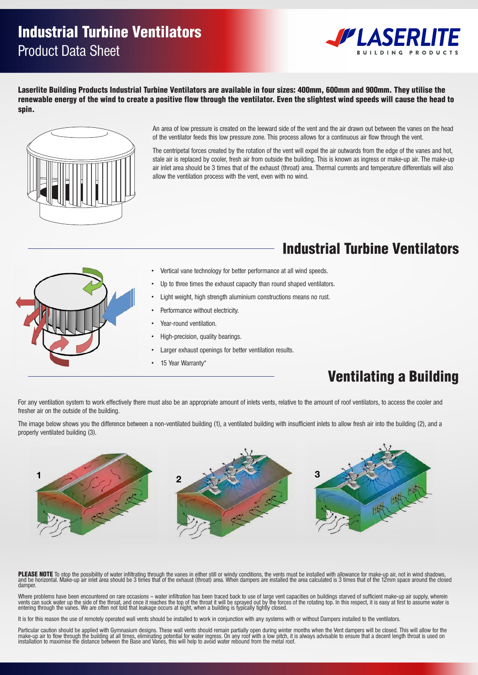## Product Data Sheet Industrial Turbine Ventilators

Vanes Aluminium 5005 H34



.<br>Laserlite Building Products Industrial Turbine Ventilators are available in four sizes: 400mm, 600mm and 900mm. They utilise the renewable energy of the wind to create a positive flow through the ventilator. Even the slightest wind speeds will cause the head to spin. Flashing Aluminium 5005 H34 Omm, 600mm and 900mm. They utilise t



**INDUSTRIAL TURBINE VENTILATORS**

An area of low pressure is created on the leeward side of the vent and the air drawn out between the vanes on the head All alea of low pressure is created off the eewald side of the vent and the air drawn out between the varies on the<br>of the ventilator feeds this low pressure zone. This process allows for a continuous air flow through the

The centripetal forces created by the rotation of the vent will expel the air outwards from the edge of the vanes and hot, stale air is replaced by cooler, fresh air from outside the building. This is known as ingress or make-up air. The make-up air inlet area should be 3 times that of the exhaust (throat) area. Thermal currents and temperature differentials will also **ventilating a building.** Upper Bearing Double row ball bearing - BWF30-119Z the difference between a non-ventilated building (1),

#### Turbine Head Variable Pitch Tube Base Flashing Pitch Tube Base Flashing Pitch Tube Base Flashing Pitch Tube Base Flashing Pitch Tube Base Flashing Pitch Tube Base Flashing Pitch Tube Base Flashing Pitch Tube Base Flashing **i and the outside of the building. The oriential Turbine Ventilators**



 $W$  and conditions apply. For details, conditions apply. For details, contact  $A$ 

Brackets Aluminium 6060 T591

**12km/hour** 210 480 1140 2700

- Vertical vane technology for better performance at all wind speeds.
- Up to three times the exhaust capacity than round shaped ventilators.
	- Light weight, high strength aluminium constructions means no rust.
	-
	-
	-
	- Larger exhaust openings for better ventilation results.
	- 15 Year Warranty\* **1**

### Ventilating a Building

For any ventilation system to work effectively there must also be an appropriate amount of inlets vents, relative to the amount of roof ventilators, to access the cooler and For any ventilation system to work enectively there must also be an appropriate amount or miets vents, rela<br>fresher air on the outside of the building.  $\sim$   $\sim$  10 to 15 to 15 to 15 to 15 to 15 to 15 to 15 to 15 to 15 to 15 to 15 to 15 to 15 to 15 to 15 to 15 to 15 to 15 to 15 to 15 to 15 to 15 to 15 to 15 to 15 to 15 to 15 to 15 to 15 to 15 to 15 to 15 to 15 to 15 to 1

The image below shows you the difference between a no properly ventilated building (3). image below shows you the unference between a no<br>erly ventilated building (3) The image below shows you the difference between a non-ventilated building (1), a ventilated building with insufficient inlets to allow fresh air into the building (2), and a



and be horizontal. Make-up ai<br>damper. **16km/hr** 280 620 1420 3460 **PLEASE NOTE** To stop the possibility of water infiltrating through the vanes in either still or windy conditions, the vents must be installed with allowance for make-up air, not in wind shadows,<br>and be horizontal. Make-up www.alsynite.co.nz I 0800 257 964 I +64 07 850 5088 damper.

> vents can suck water up the side of the throat, and once it reaches the top of the throat it will be sprayed out by the forces of the rotating top. In this respect, it is easy at first to assume water is<br>entering through t Where problems have been encountered on rare occasions – water infiltration has been traced back to use of large vent capacities on buildings starved of sufficient make-up air supply, wherein

It is for this reason the use of remotely operated wall vents should be installed to work in conjunction with any systems with or without Dampers installed to the ventilators.

...<br>S<br>ay Particular caution should be applied with Gymnasium designs. These wall vents should remain partially open during winter months when the Vent dampers will be closed. This will allow for the make-up air to flow through the building at all times, eliminating potential for water ingress. On any roof with a low pitch, it is always advisable to ensure that a decent length throat is used on<br>installation to maximise